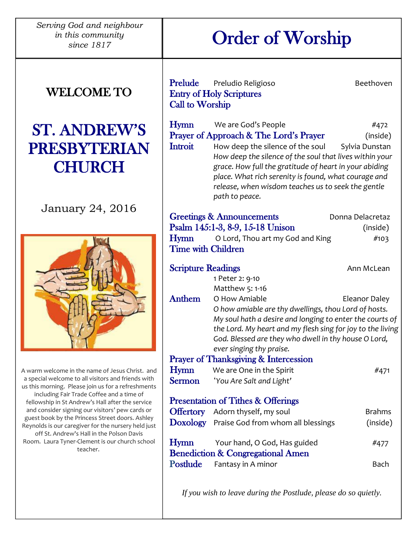*Serving God and neighbour in this community since 1817*

# WELCOME TO

# ST. ANDREW'S PRESBYTERIAN **CHURCH**

## January 24, 2016



A warm welcome in the name of Jesus Christ. and a special welcome to all visitors and friends with us this morning. Please join us for a refreshments including Fair Trade Coffee and a time of fellowship in St Andrew's Hall after the service and consider signing our visitors' pew cards or guest book by the Princess Street doors. Ashley Reynolds is our caregiver for the nursery held just off St. Andrew's Hall in the Polson Davis Room. Laura Tyner-Clement is our church school teacher.

Order of Worship

| Prelude                                            | Preludio Religioso                                                                                                                                                                                                                                                                    | Beethoven        |
|----------------------------------------------------|---------------------------------------------------------------------------------------------------------------------------------------------------------------------------------------------------------------------------------------------------------------------------------------|------------------|
| <b>Entry of Holy Scriptures</b><br>Call to Worship |                                                                                                                                                                                                                                                                                       |                  |
|                                                    |                                                                                                                                                                                                                                                                                       |                  |
| Hymn                                               | We are God's People                                                                                                                                                                                                                                                                   | #472             |
|                                                    | Prayer of Approach & The Lord's Prayer                                                                                                                                                                                                                                                | (inside)         |
| <b>Introit</b>                                     | How deep the silence of the soul<br>How deep the silence of the soul that lives within your<br>grace. How full the gratitude of heart in your abiding<br>place. What rich serenity is found, what courage and<br>release, when wisdom teaches us to seek the gentle<br>path to peace. | Sylvia Dunstan   |
|                                                    | <b>Greetings &amp; Announcements</b>                                                                                                                                                                                                                                                  | Donna Delacretaz |
|                                                    | Psalm 145:1-3, 8-9, 15-18 Unison                                                                                                                                                                                                                                                      | (inside)         |
| <b>Hymn</b>                                        | O Lord, Thou art my God and King                                                                                                                                                                                                                                                      | #103             |
| <b>Time with Children</b>                          |                                                                                                                                                                                                                                                                                       |                  |
| <b>Scripture Readings</b>                          |                                                                                                                                                                                                                                                                                       | Ann McLean       |
|                                                    | 1 Peter 2: 9-10                                                                                                                                                                                                                                                                       |                  |
|                                                    | Matthew 5: 1-16                                                                                                                                                                                                                                                                       |                  |
| <b>Anthem</b>                                      | O How Amiable                                                                                                                                                                                                                                                                         | Eleanor Daley    |
|                                                    | O how amiable are thy dwellings, thou Lord of hosts.<br>My soul hath a desire and longing to enter the courts of                                                                                                                                                                      |                  |
|                                                    | the Lord. My heart and my flesh sing for joy to the living                                                                                                                                                                                                                            |                  |
|                                                    | God. Blessed are they who dwell in thy house O Lord,                                                                                                                                                                                                                                  |                  |
|                                                    | ever singing thy praise.                                                                                                                                                                                                                                                              |                  |
|                                                    | <b>Prayer of Thanksgiving &amp; Intercession</b>                                                                                                                                                                                                                                      |                  |
| <b>Hymn</b>                                        | We are One in the Spirit                                                                                                                                                                                                                                                              | #471             |
| <b>Sermon</b>                                      | 'You Are Salt and Light'                                                                                                                                                                                                                                                              |                  |
| <b>Presentation of Tithes &amp; Offerings</b>      |                                                                                                                                                                                                                                                                                       |                  |
|                                                    | Offertory Adorn thyself, my soul                                                                                                                                                                                                                                                      | <b>Brahms</b>    |
|                                                    | Doxology Praise God from whom all blessings                                                                                                                                                                                                                                           | (inside)         |
| <b>Hymn</b>                                        | Your hand, O God, Has guided<br><b>Benediction &amp; Congregational Amen</b>                                                                                                                                                                                                          | #477             |
| Postlude                                           | Fantasy in A minor                                                                                                                                                                                                                                                                    | Bach             |

*If you wish to leave during the Postlude, please do so quietly.*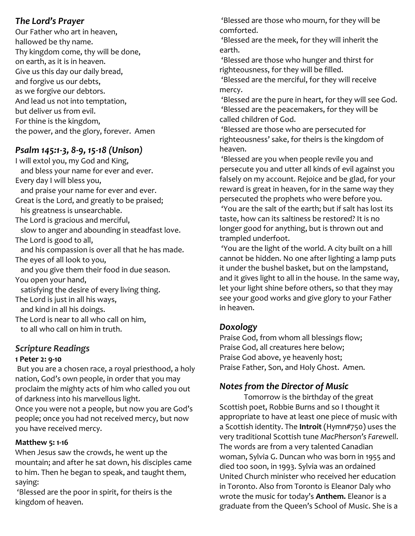#### *The Lord's Prayer*

Our Father who art in heaven, hallowed be thy name. Thy kingdom come, thy will be done, on earth, as it is in heaven. Give us this day our daily bread, and forgive us our debts, as we forgive our debtors. And lead us not into temptation, but deliver us from evil. For thine is the kingdom, the power, and the glory, forever. Amen

#### *Psalm 145:1-3, 8-9, 15-18 (Unison)*

I will extol you, my God and King, and bless your name for ever and ever. Every day I will bless you, and praise your name for ever and ever. Great is the Lord, and greatly to be praised; his greatness is unsearchable. The Lord is gracious and merciful, slow to anger and abounding in steadfast love. The Lord is good to all, and his compassion is over all that he has made. The eyes of all look to you, and you give them their food in due season. You open your hand, satisfying the desire of every living thing. The Lord is just in all his ways, and kind in all his doings. The Lord is near to all who call on him, to all who call on him in truth.

#### *Scripture Readings*

#### **1 Peter 2: 9-10**

But you are a chosen race, a royal priesthood, a holy nation, God's own people, in order that you may proclaim the mighty acts of him who called you out of darkness into his marvellous light.

Once you were not a people, but now you are God's people; once you had not received mercy, but now you have received mercy.

#### **Matthew 5: 1-16**

When Jesus saw the crowds, he went up the mountain; and after he sat down, his disciples came to him. Then he began to speak, and taught them, saying:

'Blessed are the poor in spirit, for theirs is the kingdom of heaven.

'Blessed are those who mourn, for they will be comforted.

'Blessed are the meek, for they will inherit the earth.

'Blessed are those who hunger and thirst for righteousness, for they will be filled.

'Blessed are the merciful, for they will receive mercy.

'Blessed are the pure in heart, for they will see God. 'Blessed are the peacemakers, for they will be called children of God.

'Blessed are those who are persecuted for righteousness' sake, for theirs is the kingdom of heaven.

'Blessed are you when people revile you and persecute you and utter all kinds of evil against you falsely on my account. Rejoice and be glad, for your reward is great in heaven, for in the same way they persecuted the prophets who were before you. 'You are the salt of the earth; but if salt has lost its taste, how can its saltiness be restored? It is no longer good for anything, but is thrown out and trampled underfoot.

'You are the light of the world. A city built on a hill cannot be hidden. No one after lighting a lamp puts it under the bushel basket, but on the lampstand, and it gives light to all in the house. In the same way, let your light shine before others, so that they may see your good works and give glory to your Father in heaven.

#### *Doxology*

Praise God, from whom all blessings flow; Praise God, all creatures here below; Praise God above, ye heavenly host; Praise Father, Son, and Holy Ghost. Amen.

### *Notes from the Director of Music*

Tomorrow is the birthday of the great Scottish poet, Robbie Burns and so I thought it appropriate to have at least one piece of music with a Scottish identity. The **Introit** (Hymn#750) uses the very traditional Scottish tune *MacPherson's Farewell*. The words are from a very talented Canadian woman, Sylvia G. Duncan who was born in 1955 and died too soon, in 1993. Sylvia was an ordained United Church minister who received her education in Toronto. Also from Toronto is Eleanor Daly who wrote the music for today's **Anthem.** Eleanor is a graduate from the Queen's School of Music. She is a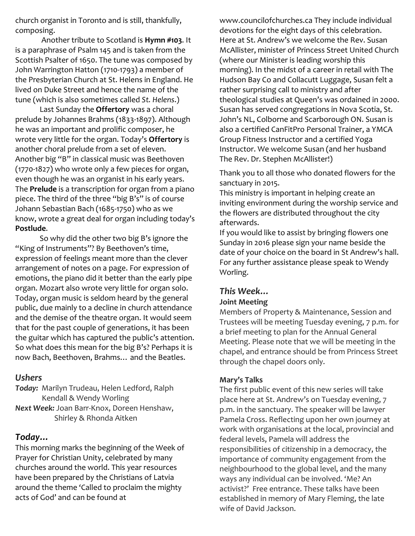church organist in Toronto and is still, thankfully, composing.

Another tribute to Scotland is **Hymn #103**. It is a paraphrase of Psalm 145 and is taken from the Scottish Psalter of 1650. The tune was composed by John Warrington Hatton (1710-1793) a member of the Presbyterian Church at St. Helens in England. He lived on Duke Street and hence the name of the tune (which is also sometimes called *St. Helens*.)

Last Sunday the **Offertory** was a choral prelude by Johannes Brahms (1833-1897). Although he was an important and prolific composer, he wrote very little for the organ. Today's **Offertory** is another choral prelude from a set of eleven. Another big "B" in classical music was Beethoven (1770-1827) who wrote only a few pieces for organ, even though he was an organist in his early years. The **Prelude** is a transcription for organ from a piano piece. The third of the three "big B's" is of course Johann Sebastian Bach (1685-1750) who as we know, wrote a great deal for organ including today's **Postlude**.

So why did the other two big B's ignore the "King of Instruments"? By Beethoven's time, expression of feelings meant more than the clever arrangement of notes on a page. For expression of emotions, the piano did it better than the early pipe organ. Mozart also wrote very little for organ solo. Today, organ music is seldom heard by the general public, due mainly to a decline in church attendance and the demise of the theatre organ. It would seem that for the past couple of generations, it has been the guitar which has captured the public's attention. So what does this mean for the big B's? Perhaps it is now Bach, Beethoven, Brahms… and the Beatles.

#### *Ushers*

*Today:* Marilyn Trudeau, Helen Ledford, Ralph Kendall & Wendy Worling *Next Week:* Joan Barr-Knox, Doreen Henshaw, Shirley & Rhonda Aitken

#### *Today…*

This morning marks the beginning of the Week of Prayer for Christian Unity, celebrated by many churches around the world. This year resources have been prepared by the Christians of Latvia around the theme 'Called to proclaim the mighty acts of God' and can be found at

[www.councilofchurches.ca](http://www.councilofchurches.ca/) They include individual devotions for the eight days of this celebration. Here at St. Andrew's we welcome the Rev. Susan McAllister, minister of Princess Street United Church (where our Minister is leading worship this morning). In the midst of a career in retail with The Hudson Bay Co and Collacutt Luggage, Susan felt a rather surprising call to ministry and after theological studies at Queen's was ordained in 2000. Susan has served congregations in Nova Scotia, St. John's NL, Colborne and Scarborough ON. Susan is also a certified CanFitPro Personal Trainer, a YMCA Group Fitness Instructor and a certified Yoga Instructor. We welcome Susan (and her husband The Rev. Dr. Stephen McAllister!)

Thank you to all those who donated flowers for the sanctuary in 2015.

This ministry is important in helping create an inviting environment during the worship service and the flowers are distributed throughout the city afterwards.

If you would like to assist by bringing flowers one Sunday in 2016 please sign your name beside the date of your choice on the board in St Andrew's hall. For any further assistance please speak to Wendy Worling.

#### *This Week…* **Joint Meeting**

Members of Property & Maintenance, Session and Trustees will be meeting Tuesday evening, 7 p.m. for a brief meeting to plan for the Annual General Meeting. Please note that we will be meeting in the chapel, and entrance should be from Princess Street through the chapel doors only.

#### **Mary's Talks**

The first public event of this new series will take place here at St. Andrew's on Tuesday evening, 7 p.m. in the sanctuary. The speaker will be lawyer Pamela Cross. Reflecting upon her own journey at work with organisations at the local, provincial and federal levels, Pamela will address the responsibilities of citizenship in a democracy, the importance of community engagement from the neighbourhood to the global level, and the many ways any individual can be involved. 'Me? An activist?' Free entrance. These talks have been established in memory of Mary Fleming, the late wife of David Jackson.